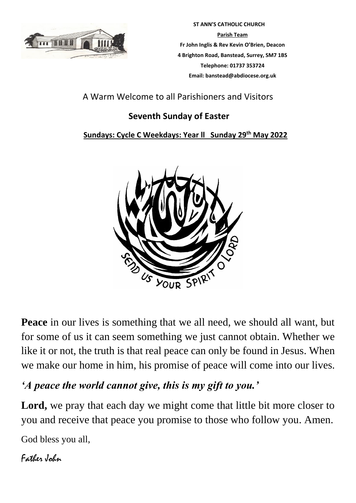

 **ST ANN'S CATHOLIC CHURCH Parish Team Fr John Inglis & Rev Kevin O'Brien, Deacon 4 Brighton Road, Banstead, Surrey, SM7 1BS Telephone: 01737 353724 Email: banstead@abdiocese.org.uk**

A Warm Welcome to all Parishioners and Visitors

# **Seventh Sunday of Easter**

## **Sundays: Cycle C Weekdays: Year ll Sunday 29 th May 2022**



**Peace** in our lives is something that we all need, we should all want, but for some of us it can seem something we just cannot obtain. Whether we like it or not, the truth is that real peace can only be found in Jesus. When we make our home in him, his promise of peace will come into our lives.

# *'A peace the world cannot give, this is my gift to you.'*

**Lord,** we pray that each day we might come that little bit more closer to you and receive that peace you promise to those who follow you. Amen.

God bless you all,

Father John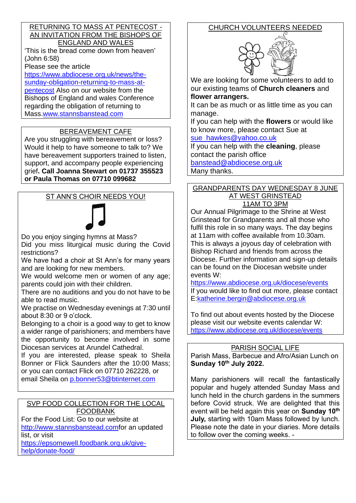#### RETURNING TO MASS AT PENTECOST - AN INVITATION FROM THE BISHOPS OF ENGLAND AND WALES

'This is the bread come down from heaven' (John 6:58)

Please see the article

[https://www.abdiocese.org.uk/news/the-](https://www.abdiocese.org.uk/news/the-sunday-obligation-returning-to-mass-at-pentecost)

[sunday-obligation-returning-to-mass-at](https://www.abdiocese.org.uk/news/the-sunday-obligation-returning-to-mass-at-pentecost)[pentecost](https://www.abdiocese.org.uk/news/the-sunday-obligation-returning-to-mass-at-pentecost) Also on our website from the

Bishops of England and wales Conference regarding the obligation of returning to Mass[.www.stannsbanstead.com](http://www.stannsbanstead.com/)

### BEREAVEMENT CAFE

Are you struggling with bereavement or loss? Would it help to have someone to talk to? We have bereavement supporters trained to listen, support, and accompany people experiencing grief**. Call Joanna Stewart on 01737 355523 or Paula Thomas on 07710 099682** 

### ST ANN'S CHOIR NEEDS YOU!



Do you enjoy singing hymns at Mass?

Did you miss liturgical music during the Covid restrictions?

We have had a choir at St Ann's for many years and are looking for new members.

We would welcome men or women of any age; parents could join with their children.

There are no auditions and you do not have to be able to read music.

We practise on Wednesday evenings at 7:30 until about 8:30 or 9 o'clock.

Belonging to a choir is a good way to get to know a wider range of parishioners; and members have the opportunity to become involved in some Diocesan services at Arundel Cathedral.

If you are interested, please speak to Sheila Bonner or Flick Saunders after the 10:00 Mass; or you can contact Flick on 07710 262228, or email Sheila on [p.bonner53@btinternet.com](mailto:p.bonner53@btinternet.com)

#### SVP FOOD COLLECTION FOR THE LOCAL FOODBANK

For the Food List: Go to our website at

[http://www.stannsbanstead.comf](http://www.stannsbanstead.com/)or an updated list, or visit

[https://epsomewell.foodbank.org.uk/give](https://epsomewell.foodbank.org.uk/give-help/donate-food/)[help/donate-food/](https://epsomewell.foodbank.org.uk/give-help/donate-food/)

# CHURCH VOLUNTEERS NEEDED



We are looking for some volunteers to add to our existing teams of **Church cleaners** and **flower arrangers.**

It can be as much or as little time as you can manage.

If you can help with the **flowers** or would like to know more, please contact Sue at

[sue\\_hawkes@yahoo.co.uk](mailto:sue_hawkes@yahoo.co.uk)

If you can help with the **cleaning**, please contact the parish office

[banstead@abdiocese.org.uk](mailto:banstead@abdiocese.org.uk)

Many thanks.

#### GRANDPARENTS DAY WEDNESDAY 8 JUNE AT WEST GRINSTEAD 11AM TO 3PM

Our Annual Pilgrimage to the Shrine at West Grinstead for Grandparents and all those who fulfil this role in so many ways. The day begins at 11am with coffee available from 10.30am. This is always a joyous day of celebration with Bishop Richard and friends from across the Diocese. Further information and sign-up details can be found on the Diocesan website under events W:

<https://www.abdiocese.org.uk/diocese/events> If you would like to find out more, please contact E[:katherine.bergin@abdiocese.org.uk](mailto:katherine.bergin@abdiocese.org.uk)

To find out about events hosted by the Diocese please visit our website events calendar W: <https://www.abdiocese.org.uk/diocese/events>

### PARISH SOCIAL LIFE

Parish Mass, Barbecue and Afro/Asian Lunch on **Sunday 10th July 2022.**

Many parishioners will recall the fantastically popular and hugely attended Sunday Mass and lunch held in the church gardens in the summers before Covid struck. We are delighted that this event will be held again this year on **Sunday 10th July,** starting with 10am Mass followed by lunch. Please note the date in your diaries. More details to follow over the coming weeks. -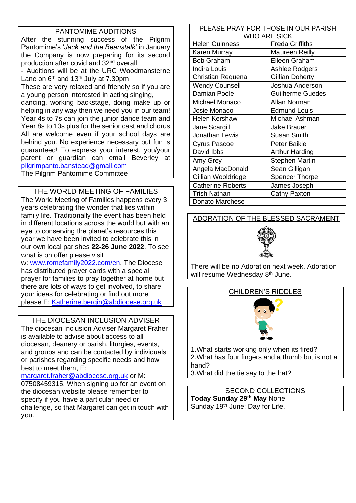### PANTOMIME AUDITIONS

After the stunning success of the Pilgrim Pantomime's '*Jack and the Beanstalk'* in January the Company is now preparing for its second production after covid and 32nd overall - Auditions will be at the URC Woodmansterne Lane on  $6<sup>th</sup>$  and 13<sup>th</sup> July at 7.30pm These are very relaxed and friendly so if you are a young person interested in acting singing, dancing, working backstage, doing make up or helping in any way then we need you in our team! Year 4s to 7s can join the junior dance team and Year 8s to 13s plus for the senior cast and chorus All are welcome even if your school days are behind you. No experience necessary but fun is guaranteed! To express your interest, you/your parent or guardian can email Beverley at [pilgrimpanto.banstead@gmail.com](mailto:pilgrimpanto.banstead@gmail.com) The Pilgrim Pantomime Committee

### THE WORLD MEETING OF FAMILIES

The World Meeting of Families happens every 3 years celebrating the wonder that lies within family life. Traditionally the event has been held in different locations across the world but with an eye to conserving the planet's resources this year we have been invited to celebrate this in our own local parishes **22-26 June 2022**. To see what is on offer please visit

w: [www.romefamily2022.com/en.](http://www.romefamily2022.com/en) The Diocese has distributed prayer cards with a special prayer for families to pray together at home but there are lots of ways to get involved, to share your ideas for celebrating or find out more please E: [Katherine.bergin@abdiocese.org.uk](mailto:Katherine.bergin@abdiocese.org.uk)

### THE DIOCESAN INCLUSION ADVISER

The diocesan Inclusion Adviser Margaret Fraher is available to advise about access to all diocesan, deanery or parish, liturgies, events, and groups and can be contacted by individuals or parishes regarding specific needs and how best to meet them, E:

[margaret.fraher@abdiocese.org.uk](mailto:margaret.fraher@abdiocese.org.uk) or M: 07508459315. When signing up for an event on the diocesan website please remember to specify if you have a particular need or challenge, so that Margaret can get in touch with you.

| PLEASE PRAY FOR THOSE IN OUR PARISH |                         |  |
|-------------------------------------|-------------------------|--|
| <b>WHO ARE SICK</b>                 |                         |  |
| <b>Helen Guinness</b>               | <b>Freda Griffiths</b>  |  |
| Karen Murray                        | Maureen Reilly          |  |
| <b>Bob Graham</b>                   | Eileen Graham           |  |
| <b>Indira Louis</b>                 | Ashlee Rodgers          |  |
| Christian Requena                   | Gillian Doherty         |  |
| <b>Wendy Counsell</b>               | Joshua Anderson         |  |
| <b>Damian Poole</b>                 | <b>Guilherme Guedes</b> |  |
| Michael Monaco                      | Allan Norman            |  |
| Josie Monaco                        | <b>Edmund Louis</b>     |  |
| <b>Helen Kershaw</b>                | Michael Ashman          |  |
| Jane Scargill                       | <b>Jake Brauer</b>      |  |
| Jonathan Lewis                      | <b>Susan Smith</b>      |  |
| Cyrus Pascoe                        | Peter Baikie            |  |
| David Ibbs                          | <b>Arthur Harding</b>   |  |
| Amy Grey                            | <b>Stephen Martin</b>   |  |
| Angela MacDonald                    | Sean Gilligan           |  |
| Gillian Wooldridge                  | <b>Spencer Thorpe</b>   |  |
| <b>Catherine Roberts</b>            | James Joseph            |  |
| <b>Trish Nathan</b>                 | Cathy Paxton            |  |
| Donato Marchese                     |                         |  |

### ADORATION OF THE BLESSED SACRAMENT



There will be no Adoration next week. Adoration will resume Wednesday 8<sup>th</sup> June.

#### CHILDREN'S RIDDLES



1.What starts working only when its fired? 2.What has four fingers and a thumb but is not a hand?

3.What did the tie say to the hat?

SECOND COLLECTIONS **Today Sunday 29th May** None Sunday 19<sup>th</sup> June: Day for Life.